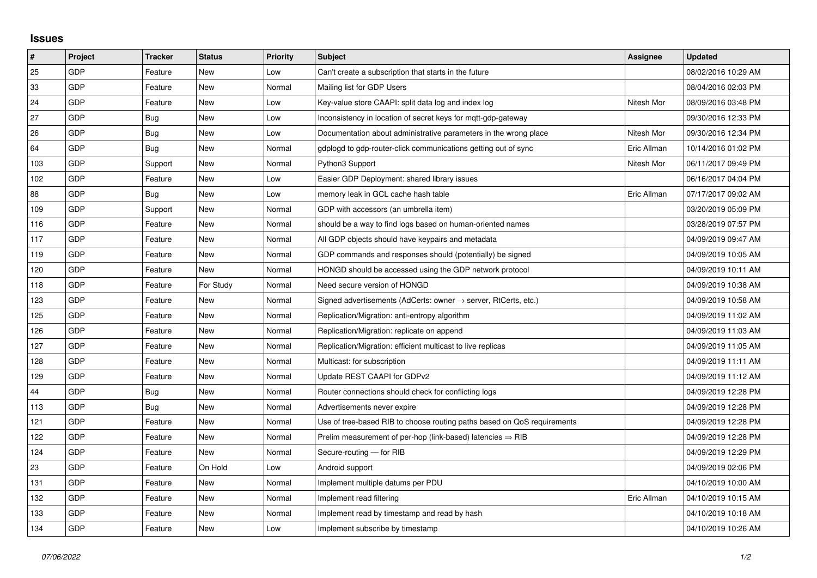## **Issues**

| #   | Project    | <b>Tracker</b> | <b>Status</b> | <b>Priority</b> | <b>Subject</b>                                                             | <b>Assignee</b> | <b>Updated</b>      |
|-----|------------|----------------|---------------|-----------------|----------------------------------------------------------------------------|-----------------|---------------------|
| 25  | GDP        | Feature        | <b>New</b>    | Low             | Can't create a subscription that starts in the future                      |                 | 08/02/2016 10:29 AM |
| 33  | <b>GDP</b> | Feature        | <b>New</b>    | Normal          | Mailing list for GDP Users                                                 |                 | 08/04/2016 02:03 PM |
| 24  | GDP        | Feature        | <b>New</b>    | Low             | Key-value store CAAPI: split data log and index log                        | Nitesh Mor      | 08/09/2016 03:48 PM |
| 27  | GDP        | <b>Bug</b>     | <b>New</b>    | Low             | Inconsistency in location of secret keys for mgtt-gdp-gateway              |                 | 09/30/2016 12:33 PM |
| 26  | <b>GDP</b> | Bug            | <b>New</b>    | Low             | Documentation about administrative parameters in the wrong place           | Nitesh Mor      | 09/30/2016 12:34 PM |
| 64  | GDP        | <b>Bug</b>     | <b>New</b>    | Normal          | gdplogd to gdp-router-click communications getting out of sync             | Eric Allman     | 10/14/2016 01:02 PM |
| 103 | GDP        | Support        | <b>New</b>    | Normal          | Python3 Support                                                            | Nitesh Mor      | 06/11/2017 09:49 PM |
| 102 | GDP        | Feature        | <b>New</b>    | Low             | Easier GDP Deployment: shared library issues                               |                 | 06/16/2017 04:04 PM |
| 88  | GDP        | Bug            | <b>New</b>    | Low             | memory leak in GCL cache hash table                                        | Eric Allman     | 07/17/2017 09:02 AM |
| 109 | <b>GDP</b> | Support        | <b>New</b>    | Normal          | GDP with accessors (an umbrella item)                                      |                 | 03/20/2019 05:09 PM |
| 116 | GDP        | Feature        | <b>New</b>    | Normal          | should be a way to find logs based on human-oriented names                 |                 | 03/28/2019 07:57 PM |
| 117 | GDP        | Feature        | New           | Normal          | All GDP objects should have keypairs and metadata                          |                 | 04/09/2019 09:47 AM |
| 119 | GDP        | Feature        | <b>New</b>    | Normal          | GDP commands and responses should (potentially) be signed                  |                 | 04/09/2019 10:05 AM |
| 120 | GDP        | Feature        | <b>New</b>    | Normal          | HONGD should be accessed using the GDP network protocol                    |                 | 04/09/2019 10:11 AM |
| 118 | GDP        | Feature        | For Study     | Normal          | Need secure version of HONGD                                               |                 | 04/09/2019 10:38 AM |
| 123 | GDP        | Feature        | New           | Normal          | Signed advertisements (AdCerts: owner $\rightarrow$ server, RtCerts, etc.) |                 | 04/09/2019 10:58 AM |
| 125 | GDP        | Feature        | <b>New</b>    | Normal          | Replication/Migration: anti-entropy algorithm                              |                 | 04/09/2019 11:02 AM |
| 126 | GDP        | Feature        | New           | Normal          | Replication/Migration: replicate on append                                 |                 | 04/09/2019 11:03 AM |
| 127 | GDP        | Feature        | <b>New</b>    | Normal          | Replication/Migration: efficient multicast to live replicas                |                 | 04/09/2019 11:05 AM |
| 128 | GDP        | Feature        | <b>New</b>    | Normal          | Multicast: for subscription                                                |                 | 04/09/2019 11:11 AM |
| 129 | GDP        | Feature        | New           | Normal          | Update REST CAAPI for GDPv2                                                |                 | 04/09/2019 11:12 AM |
| 44  | GDP        | Bug            | <b>New</b>    | Normal          | Router connections should check for conflicting logs                       |                 | 04/09/2019 12:28 PM |
| 113 | GDP        | <b>Bug</b>     | <b>New</b>    | Normal          | Advertisements never expire                                                |                 | 04/09/2019 12:28 PM |
| 121 | GDP        | Feature        | New           | Normal          | Use of tree-based RIB to choose routing paths based on QoS requirements    |                 | 04/09/2019 12:28 PM |
| 122 | GDP        | Feature        | <b>New</b>    | Normal          | Prelim measurement of per-hop (link-based) latencies $\Rightarrow$ RIB     |                 | 04/09/2019 12:28 PM |
| 124 | GDP        | Feature        | <b>New</b>    | Normal          | Secure-routing - for RIB                                                   |                 | 04/09/2019 12:29 PM |
| 23  | GDP        | Feature        | On Hold       | Low             | Android support                                                            |                 | 04/09/2019 02:06 PM |
| 131 | GDP        | Feature        | New           | Normal          | Implement multiple datums per PDU                                          |                 | 04/10/2019 10:00 AM |
| 132 | GDP        | Feature        | New           | Normal          | Implement read filtering                                                   | Eric Allman     | 04/10/2019 10:15 AM |
| 133 | GDP        | Feature        | New           | Normal          | Implement read by timestamp and read by hash                               |                 | 04/10/2019 10:18 AM |
| 134 | GDP        | Feature        | <b>New</b>    | Low             | Implement subscribe by timestamp                                           |                 | 04/10/2019 10:26 AM |